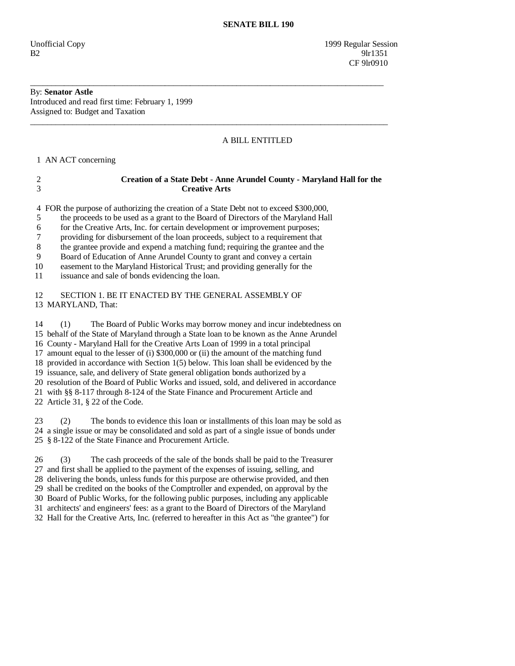Unofficial Copy 1999 Regular Session  $B2$  9lr1351 **CF** 9lr0910

## By: **Senator Astle**

Introduced and read first time: February 1, 1999 Assigned to: Budget and Taxation

## A BILL ENTITLED

1 AN ACT concerning

| 3        | <b>Creative Arts</b>                                                                       |
|----------|--------------------------------------------------------------------------------------------|
|          | 4 FOR the purpose of authorizing the creation of a State Debt not to exceed \$300,000,     |
| 5        | the proceeds to be used as a grant to the Board of Directors of the Maryland Hall          |
| 6        | for the Creative Arts, Inc. for certain development or improvement purposes;               |
| 7        | providing for disbursement of the loan proceeds, subject to a requirement that             |
| 8        | the grantee provide and expend a matching fund; requiring the grantee and the              |
| 9        | Board of Education of Anne Arundel County to grant and convey a certain                    |
| 10<br>11 | easement to the Maryland Historical Trust; and providing generally for the                 |
|          | issuance and sale of bonds evidencing the loan.                                            |
| 12       | SECTION 1. BE IT ENACTED BY THE GENERAL ASSEMBLY OF                                        |
|          | 13 MARYLAND, That:                                                                         |
|          |                                                                                            |
| 14       | The Board of Public Works may borrow money and incur indebtedness on<br>(1)                |
|          | 15 behalf of the State of Maryland through a State loan to be known as the Anne Arundel    |
|          | 16 County - Maryland Hall for the Creative Arts Loan of 1999 in a total principal          |
|          | 17 amount equal to the lesser of (i) \$300,000 or (ii) the amount of the matching fund     |
|          | 18 provided in accordance with Section 1(5) below. This loan shall be evidenced by the     |
|          | 19 issuance, sale, and delivery of State general obligation bonds authorized by a          |
|          | 20 resolution of the Board of Public Works and issued, sold, and delivered in accordance   |
|          | 21 with §§ 8-117 through 8-124 of the State Finance and Procurement Article and            |
|          | 22 Article 31, § 22 of the Code.                                                           |
| 23       | The bonds to evidence this loan or installments of this loan may be sold as<br>(2)         |
|          | 24 a single issue or may be consolidated and sold as part of a single issue of bonds under |
|          | 25 § 8-122 of the State Finance and Procurement Article.                                   |
|          |                                                                                            |
| 26       | The cash proceeds of the sale of the bonds shall be paid to the Treasurer<br>(3)           |
|          | 27 and first shall be applied to the payment of the expenses of issuing selling and        |

\_\_\_\_\_\_\_\_\_\_\_\_\_\_\_\_\_\_\_\_\_\_\_\_\_\_\_\_\_\_\_\_\_\_\_\_\_\_\_\_\_\_\_\_\_\_\_\_\_\_\_\_\_\_\_\_\_\_\_\_\_\_\_\_\_\_\_\_\_\_\_\_\_\_\_\_\_\_\_\_\_\_\_\_

\_\_\_\_\_\_\_\_\_\_\_\_\_\_\_\_\_\_\_\_\_\_\_\_\_\_\_\_\_\_\_\_\_\_\_\_\_\_\_\_\_\_\_\_\_\_\_\_\_\_\_\_\_\_\_\_\_\_\_\_\_\_\_\_\_\_\_\_\_\_\_\_\_\_\_\_\_\_\_\_\_\_\_\_\_

2 **Creation of a State Debt - Anne Arundel County - Maryland Hall for the** 

 27 and first shall be applied to the payment of the expenses of issuing, selling, and 28 delivering the bonds, unless funds for this purpose are otherwise provided, and then 29 shall be credited on the books of the Comptroller and expended, on approval by the 30 Board of Public Works, for the following public purposes, including any applicable 31 architects' and engineers' fees: as a grant to the Board of Directors of the Maryland 32 Hall for the Creative Arts, Inc. (referred to hereafter in this Act as "the grantee") for